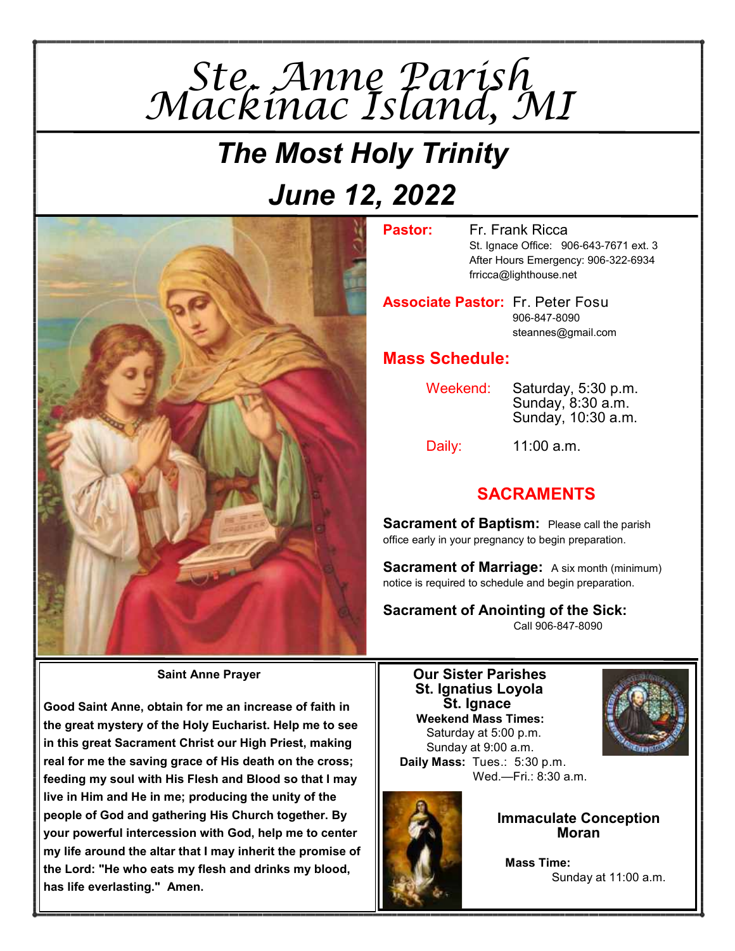

# *The Most Holy Trinity June 12, 2022*



**Pastor:** Fr. Frank Ricca St. Ignace Office: 906-643-7671 ext. 3 After Hours Emergency: 906-322-6934 frricca@lighthouse.net

**Associate Pastor:** Fr. Peter Fosu 906-847-8090 steannes@gmail.com

### **Mass Schedule:**

Weekend: Saturday, 5:30 p.m. Sunday, 8:30 a.m. Sunday, 10:30 a.m.

Daily: 11:00 a.m.

# **SACRAMENTS**

**Sacrament of Baptism:** Please call the parish office early in your pregnancy to begin preparation.

**Sacrament of Marriage:** A six month (minimum) notice is required to schedule and begin preparation.

**Sacrament of Anointing of the Sick:**  Call 906-847-8090

**Saint Anne Prayer** 

**Good Saint Anne, obtain for me an increase of faith in the great mystery of the Holy Eucharist. Help me to see in this great Sacrament Christ our High Priest, making real for me the saving grace of His death on the cross; feeding my soul with His Flesh and Blood so that I may live in Him and He in me; producing the unity of the people of God and gathering His Church together. By your powerful intercession with God, help me to center my life around the altar that I may inherit the promise of the Lord: "He who eats my flesh and drinks my blood, has life everlasting." Amen.** 

#### **Our Sister Parishes St. Ignatius Loyola St. Ignace Weekend Mass Times:** Saturday at 5:00 p.m.

 Sunday at 9:00 a.m.  **Daily Mass:** Tues.: 5:30 p.m. Wed.—Fri.: 8:30 a.m.





**Immaculate Conception Moran**

 **Mass Time:** Sunday at 11:00 a.m.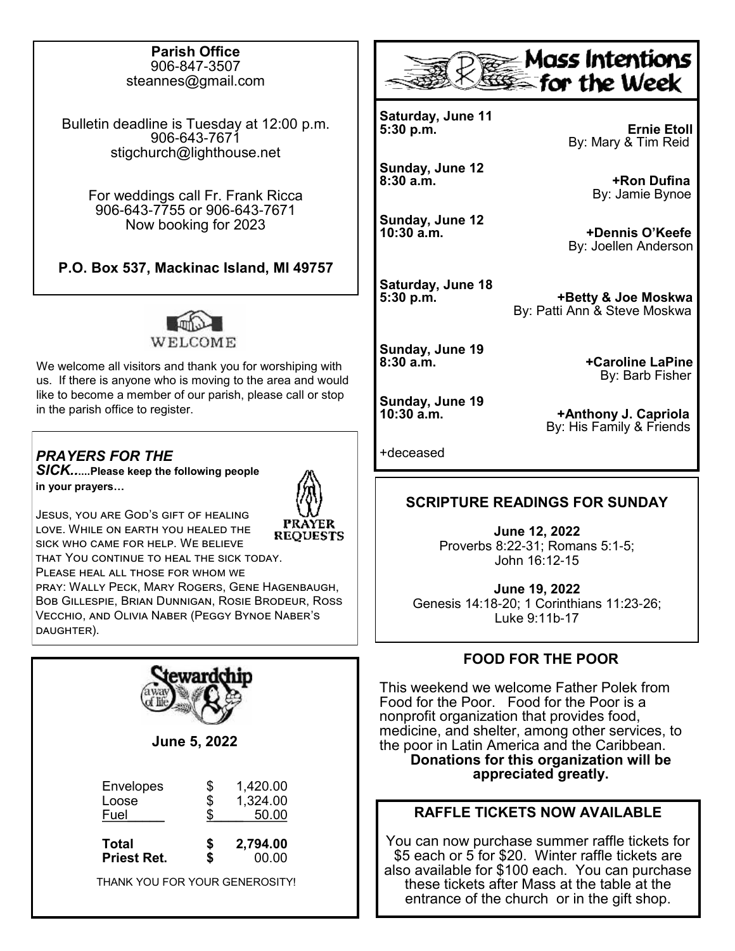#### **Parish Office** 906-847-3507 steannes@gmail.com

Bulletin deadline is Tuesday at 12:00 p.m. 906-643-7671 stigchurch@lighthouse.net

For weddings call Fr. Frank Ricca 906-643-7755 or 906-643-7671 Now booking for 2023

**P.O. Box 537, Mackinac Island, MI 49757**



We welcome all visitors and thank you for worshiping with us. If there is anyone who is moving to the area and would like to become a member of our parish, please call or stop in the parish office to register.



Jesus, you are God's gift of healing love. While on earth you healed the **REQUESTS** sick who came for help. We believe that You continue to heal the sick today. Please heal all those for whom we pray: Wally Peck, Mary Rogers, Gene Hagenbaugh, Bob Gillespie, Brian Dunnigan, Rosie Brodeur, Ross







**Saturday, June 11**

**Sunday, June 12**

**Sunday, June 12**

**Saturday, June 18**

**Sunday, June 19**

**+Anthony J. Capriola** By: His Family & Friends

+deceased

### **SCRIPTURE READINGS FOR SUNDAY**

**June 12, 2022** Proverbs 8:22-31; Romans 5:1-5; John 16:12-15

**June 19, 2022** Genesis 14:18-20; 1 Corinthians 11:23-26; Luke 9:11b-17

### **FOOD FOR THE POOR**

This weekend we welcome Father Polek from Food for the Poor. Food for the Poor is a nonprofit organization that provides food, medicine, and shelter, among other services, to the poor in Latin America and the Caribbean. **Donations for this organization will be appreciated greatly.** 

### **RAFFLE TICKETS NOW AVAILABLE**

You can now purchase summer raffle tickets for \$5 each or 5 for \$20. Winter raffle tickets are also available for \$100 each. You can purchase these tickets after Mass at the table at the entrance of the church or in the gift shop.

**Ernie Etoll** By: Mary & Tim Reid

> **+Ron Dufina** By: Jamie Bynoe

**10:30 a.m. +Dennis O'Keefe** By: Joellen Anderson

**5:30 p.m. +Betty & Joe Moskwa**

**8:30 a.m. +Caroline LaPine By: Barb Fisher** 

By: Patti Ann & Steve Moskwa

**Sunday, June 19**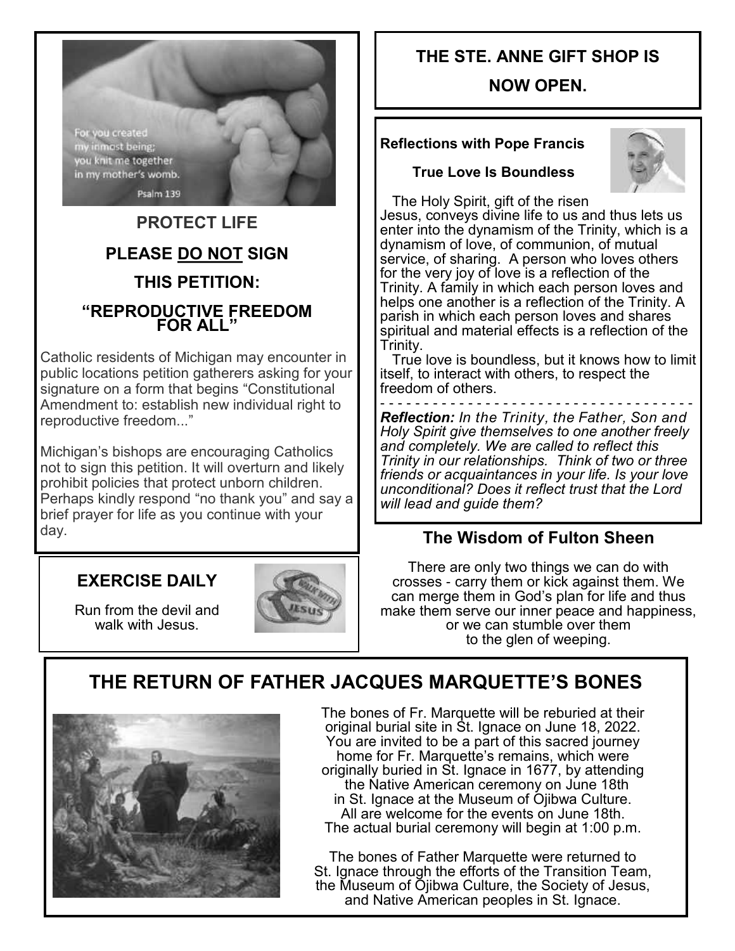For you created<br>my inmost being; you knit me together in my mother's womb. Psalm 139

# **PROTECT LIFE PLEASE DO NOT SIGN THIS PETITION: "REPRODUCTIVE FREEDOM FOR ALL"**

Catholic residents of Michigan may encounter in public locations petition gatherers asking for your signature on a form that begins "Constitutional Amendment to: establish new individual right to reproductive freedom..."

Michigan's bishops are encouraging Catholics not to sign this petition. It will overturn and likely prohibit policies that protect unborn children. Perhaps kindly respond "no thank you" and say a brief prayer for life as you continue with your day.

## **EXERCISE DAILY**

Run from the devil and walk with Jesus.



# **THE STE. ANNE GIFT SHOP IS**

### **NOW OPEN.**

### **Reflections with Pope Francis**

#### **True Love Is Boundless**



 The Holy Spirit, gift of the risen Jesus, conveys divine life to us and thus lets us enter into the dynamism of the Trinity, which is a dynamism of love, of communion, of mutual service, of sharing. A person who loves others for the very joy of love is a reflection of the Trinity. A family in which each person loves and helps one another is a reflection of the Trinity. A parish in which each person loves and shares spiritual and material effects is a reflection of the Trinity.

 True love is boundless, but it knows how to limit itself, to interact with others, to respect the freedom of others.

- - - - - - - - - - - - - - - - - - - - - - - - - - - - - - - - - - - - *Reflection: In the Trinity, the Father, Son and Holy Spirit give themselves to one another freely and completely. We are called to reflect this Trinity in our relationships. Think of two or three friends or acquaintances in your life. Is your love unconditional? Does it reflect trust that the Lord will lead and guide them?* 

### **The Wisdom of Fulton Sheen**

There are only two things we can do with crosses - carry them or kick against them. We can merge them in God's plan for life and thus make them serve our inner peace and happiness, or we can stumble over them to the glen of weeping.

# **THE RETURN OF FATHER JACQUES MARQUETTE'S BONES**



The bones of Fr. Marquette will be reburied at their original burial site in St. Ignace on June 18, 2022. You are invited to be a part of this sacred journey home for Fr. Marquette's remains, which were originally buried in St. Ignace in 1677, by attending the Native American ceremony on June 18th in St. Ignace at the Museum of Ojibwa Culture. All are welcome for the events on June 18th. The actual burial ceremony will begin at 1:00 p.m.

The bones of Father Marquette were returned to St. Ignace through the efforts of the Transition Team, the Museum of Ojibwa Culture, the Society of Jesus, and Native American peoples in St. Ignace.